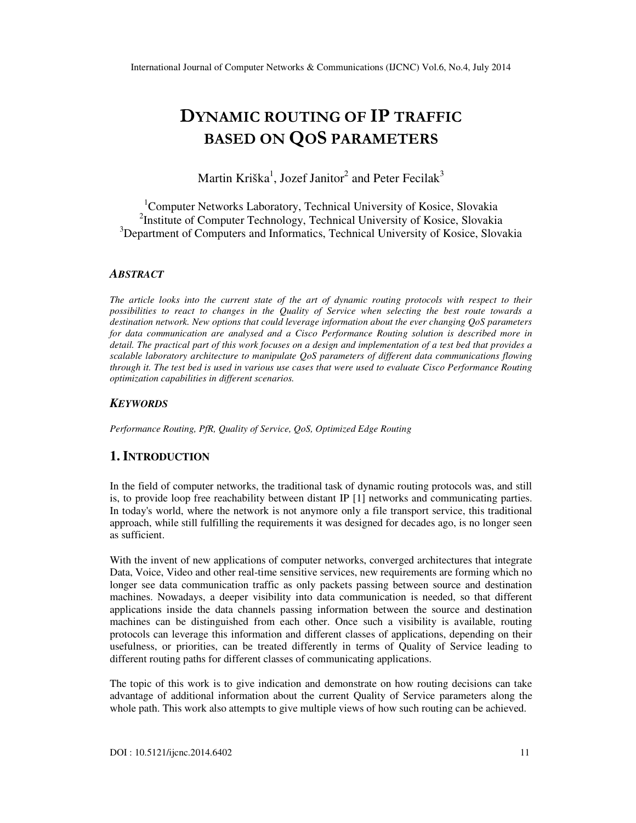# DYNAMIC ROUTING OF IP TRAFFIC BASED ON QOS PARAMETERS

Martin Kriška<sup>1</sup>, Jozef Janitor<sup>2</sup> and Peter Fecilak<sup>3</sup>

<sup>1</sup>Computer Networks Laboratory, Technical University of Kosice, Slovakia <sup>2</sup>Institute of Computer Technology, Technical University of Kosice, Slovakia <sup>3</sup>Department of Computers and Informatics, Technical University of Kosice, Slovakia

#### *ABSTRACT*

*The article looks into the current state of the art of dynamic routing protocols with respect to their possibilities to react to changes in the Quality of Service when selecting the best route towards a destination network. New options that could leverage information about the ever changing QoS parameters for data communication are analysed and a Cisco Performance Routing solution is described more in detail. The practical part of this work focuses on a design and implementation of a test bed that provides a scalable laboratory architecture to manipulate QoS parameters of different data communications flowing through it. The test bed is used in various use cases that were used to evaluate Cisco Performance Routing optimization capabilities in different scenarios.* 

#### *KEYWORDS*

*Performance Routing, PfR, Quality of Service, QoS, Optimized Edge Routing* 

# **1. INTRODUCTION**

In the field of computer networks, the traditional task of dynamic routing protocols was, and still is, to provide loop free reachability between distant IP [1] networks and communicating parties. In today's world, where the network is not anymore only a file transport service, this traditional approach, while still fulfilling the requirements it was designed for decades ago, is no longer seen as sufficient.

With the invent of new applications of computer networks, converged architectures that integrate Data, Voice, Video and other real-time sensitive services, new requirements are forming which no longer see data communication traffic as only packets passing between source and destination machines. Nowadays, a deeper visibility into data communication is needed, so that different applications inside the data channels passing information between the source and destination machines can be distinguished from each other. Once such a visibility is available, routing protocols can leverage this information and different classes of applications, depending on their usefulness, or priorities, can be treated differently in terms of Quality of Service leading to different routing paths for different classes of communicating applications.

The topic of this work is to give indication and demonstrate on how routing decisions can take advantage of additional information about the current Quality of Service parameters along the whole path. This work also attempts to give multiple views of how such routing can be achieved.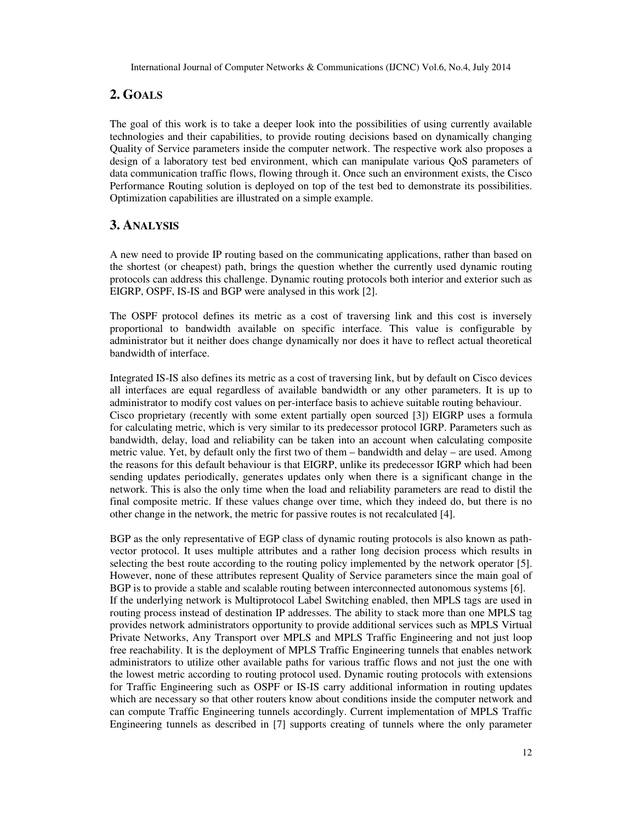# **2. GOALS**

The goal of this work is to take a deeper look into the possibilities of using currently available technologies and their capabilities, to provide routing decisions based on dynamically changing Quality of Service parameters inside the computer network. The respective work also proposes a design of a laboratory test bed environment, which can manipulate various QoS parameters of data communication traffic flows, flowing through it. Once such an environment exists, the Cisco Performance Routing solution is deployed on top of the test bed to demonstrate its possibilities. Optimization capabilities are illustrated on a simple example.

## **3. ANALYSIS**

A new need to provide IP routing based on the communicating applications, rather than based on the shortest (or cheapest) path, brings the question whether the currently used dynamic routing protocols can address this challenge. Dynamic routing protocols both interior and exterior such as EIGRP, OSPF, IS-IS and BGP were analysed in this work [2].

The OSPF protocol defines its metric as a cost of traversing link and this cost is inversely proportional to bandwidth available on specific interface. This value is configurable by administrator but it neither does change dynamically nor does it have to reflect actual theoretical bandwidth of interface.

Integrated IS-IS also defines its metric as a cost of traversing link, but by default on Cisco devices all interfaces are equal regardless of available bandwidth or any other parameters. It is up to administrator to modify cost values on per-interface basis to achieve suitable routing behaviour. Cisco proprietary (recently with some extent partially open sourced [3]) EIGRP uses a formula for calculating metric, which is very similar to its predecessor protocol IGRP. Parameters such as bandwidth, delay, load and reliability can be taken into an account when calculating composite metric value. Yet, by default only the first two of them – bandwidth and delay – are used. Among the reasons for this default behaviour is that EIGRP, unlike its predecessor IGRP which had been sending updates periodically, generates updates only when there is a significant change in the network. This is also the only time when the load and reliability parameters are read to distil the final composite metric. If these values change over time, which they indeed do, but there is no other change in the network, the metric for passive routes is not recalculated [4].

BGP as the only representative of EGP class of dynamic routing protocols is also known as pathvector protocol. It uses multiple attributes and a rather long decision process which results in selecting the best route according to the routing policy implemented by the network operator [5]. However, none of these attributes represent Quality of Service parameters since the main goal of BGP is to provide a stable and scalable routing between interconnected autonomous systems [6]. If the underlying network is Multiprotocol Label Switching enabled, then MPLS tags are used in routing process instead of destination IP addresses. The ability to stack more than one MPLS tag provides network administrators opportunity to provide additional services such as MPLS Virtual Private Networks, Any Transport over MPLS and MPLS Traffic Engineering and not just loop free reachability. It is the deployment of MPLS Traffic Engineering tunnels that enables network administrators to utilize other available paths for various traffic flows and not just the one with the lowest metric according to routing protocol used. Dynamic routing protocols with extensions for Traffic Engineering such as OSPF or IS-IS carry additional information in routing updates which are necessary so that other routers know about conditions inside the computer network and can compute Traffic Engineering tunnels accordingly. Current implementation of MPLS Traffic Engineering tunnels as described in [7] supports creating of tunnels where the only parameter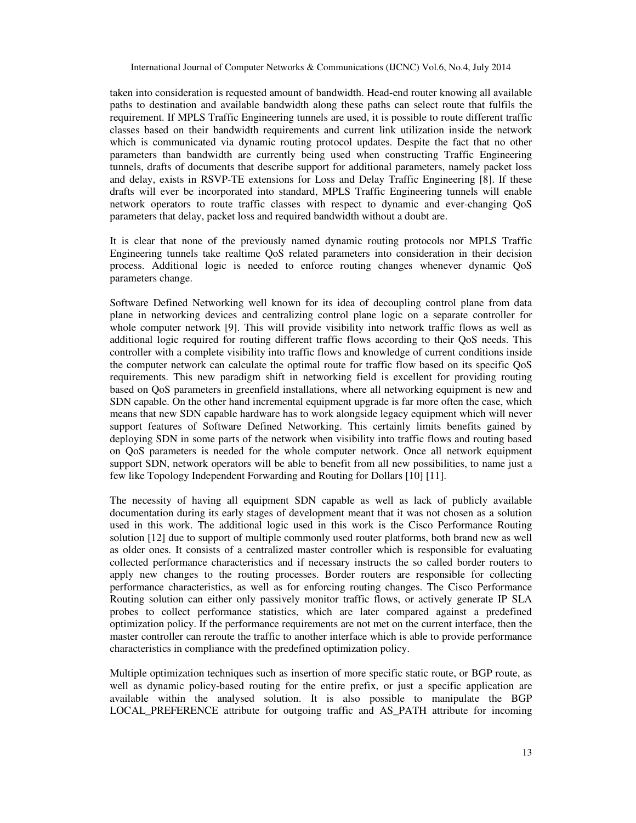taken into consideration is requested amount of bandwidth. Head-end router knowing all available paths to destination and available bandwidth along these paths can select route that fulfils the requirement. If MPLS Traffic Engineering tunnels are used, it is possible to route different traffic classes based on their bandwidth requirements and current link utilization inside the network which is communicated via dynamic routing protocol updates. Despite the fact that no other parameters than bandwidth are currently being used when constructing Traffic Engineering tunnels, drafts of documents that describe support for additional parameters, namely packet loss and delay, exists in RSVP-TE extensions for Loss and Delay Traffic Engineering [8]. If these drafts will ever be incorporated into standard, MPLS Traffic Engineering tunnels will enable network operators to route traffic classes with respect to dynamic and ever-changing QoS parameters that delay, packet loss and required bandwidth without a doubt are.

It is clear that none of the previously named dynamic routing protocols nor MPLS Traffic Engineering tunnels take realtime QoS related parameters into consideration in their decision process. Additional logic is needed to enforce routing changes whenever dynamic QoS parameters change.

Software Defined Networking well known for its idea of decoupling control plane from data plane in networking devices and centralizing control plane logic on a separate controller for whole computer network [9]. This will provide visibility into network traffic flows as well as additional logic required for routing different traffic flows according to their QoS needs. This controller with a complete visibility into traffic flows and knowledge of current conditions inside the computer network can calculate the optimal route for traffic flow based on its specific QoS requirements. This new paradigm shift in networking field is excellent for providing routing based on QoS parameters in greenfield installations, where all networking equipment is new and SDN capable. On the other hand incremental equipment upgrade is far more often the case, which means that new SDN capable hardware has to work alongside legacy equipment which will never support features of Software Defined Networking. This certainly limits benefits gained by deploying SDN in some parts of the network when visibility into traffic flows and routing based on QoS parameters is needed for the whole computer network. Once all network equipment support SDN, network operators will be able to benefit from all new possibilities, to name just a few like Topology Independent Forwarding and Routing for Dollars [10] [11].

The necessity of having all equipment SDN capable as well as lack of publicly available documentation during its early stages of development meant that it was not chosen as a solution used in this work. The additional logic used in this work is the Cisco Performance Routing solution [12] due to support of multiple commonly used router platforms, both brand new as well as older ones. It consists of a centralized master controller which is responsible for evaluating collected performance characteristics and if necessary instructs the so called border routers to apply new changes to the routing processes. Border routers are responsible for collecting performance characteristics, as well as for enforcing routing changes. The Cisco Performance Routing solution can either only passively monitor traffic flows, or actively generate IP SLA probes to collect performance statistics, which are later compared against a predefined optimization policy. If the performance requirements are not met on the current interface, then the master controller can reroute the traffic to another interface which is able to provide performance characteristics in compliance with the predefined optimization policy.

Multiple optimization techniques such as insertion of more specific static route, or BGP route, as well as dynamic policy-based routing for the entire prefix, or just a specific application are available within the analysed solution. It is also possible to manipulate the BGP LOCAL PREFERENCE attribute for outgoing traffic and AS PATH attribute for incoming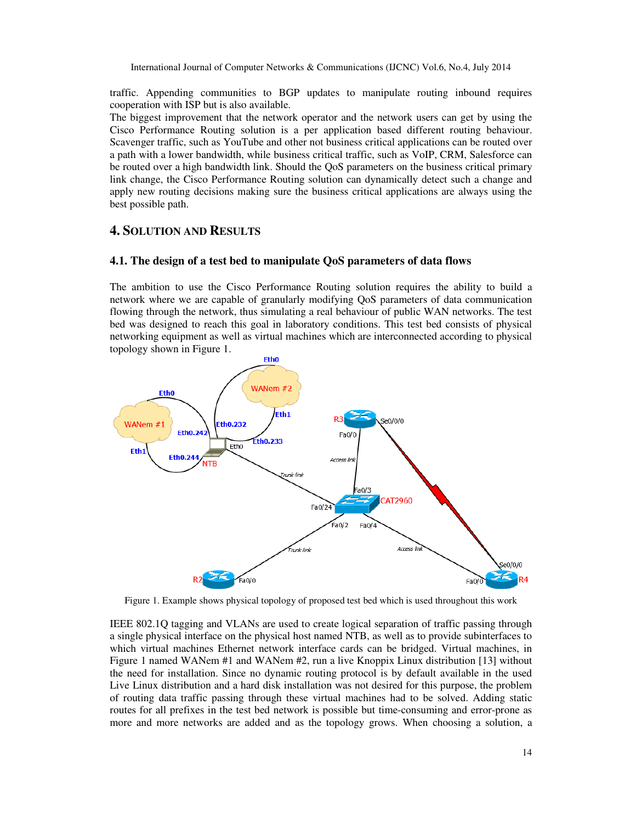traffic. Appending communities to BGP updates to manipulate routing inbound requires cooperation with ISP but is also available.

The biggest improvement that the network operator and the network users can get by using the Cisco Performance Routing solution is a per application based different routing behaviour. Scavenger traffic, such as YouTube and other not business critical applications can be routed over a path with a lower bandwidth, while business critical traffic, such as VoIP, CRM, Salesforce can be routed over a high bandwidth link. Should the QoS parameters on the business critical primary link change, the Cisco Performance Routing solution can dynamically detect such a change and apply new routing decisions making sure the business critical applications are always using the best possible path.

## **4. SOLUTION AND RESULTS**

#### **4.1. The design of a test bed to manipulate QoS parameters of data flows**

The ambition to use the Cisco Performance Routing solution requires the ability to build a network where we are capable of granularly modifying QoS parameters of data communication flowing through the network, thus simulating a real behaviour of public WAN networks. The test bed was designed to reach this goal in laboratory conditions. This test bed consists of physical networking equipment as well as virtual machines which are interconnected according to physical topology shown in Figure 1.



Figure 1. Example shows physical topology of proposed test bed which is used throughout this work

IEEE 802.1Q tagging and VLANs are used to create logical separation of traffic passing through a single physical interface on the physical host named NTB, as well as to provide subinterfaces to which virtual machines Ethernet network interface cards can be bridged. Virtual machines, in Figure 1 named WANem #1 and WANem #2, run a live Knoppix Linux distribution [13] without the need for installation. Since no dynamic routing protocol is by default available in the used Live Linux distribution and a hard disk installation was not desired for this purpose, the problem of routing data traffic passing through these virtual machines had to be solved. Adding static routes for all prefixes in the test bed network is possible but time-consuming and error-prone as more and more networks are added and as the topology grows. When choosing a solution, a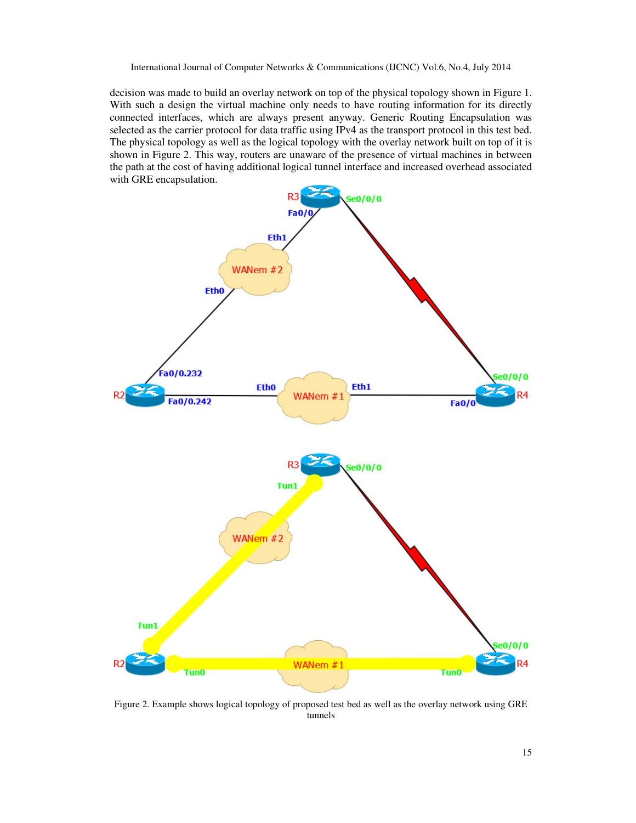decision was made to build an overlay network on top of the physical topology shown in Figure 1. With such a design the virtual machine only needs to have routing information for its directly connected interfaces, which are always present anyway. Generic Routing Encapsulation was selected as the carrier protocol for data traffic using IPv4 as the transport protocol in this test bed. The physical topology as well as the logical topology with the overlay network built on top of it is shown in Figure 2. This way, routers are unaware of the presence of virtual machines in between the path at the cost of having additional logical tunnel interface and increased overhead associated with GRE encapsulation.



Figure 2. Example shows logical topology of proposed test bed as well as the overlay network using GRE tunnels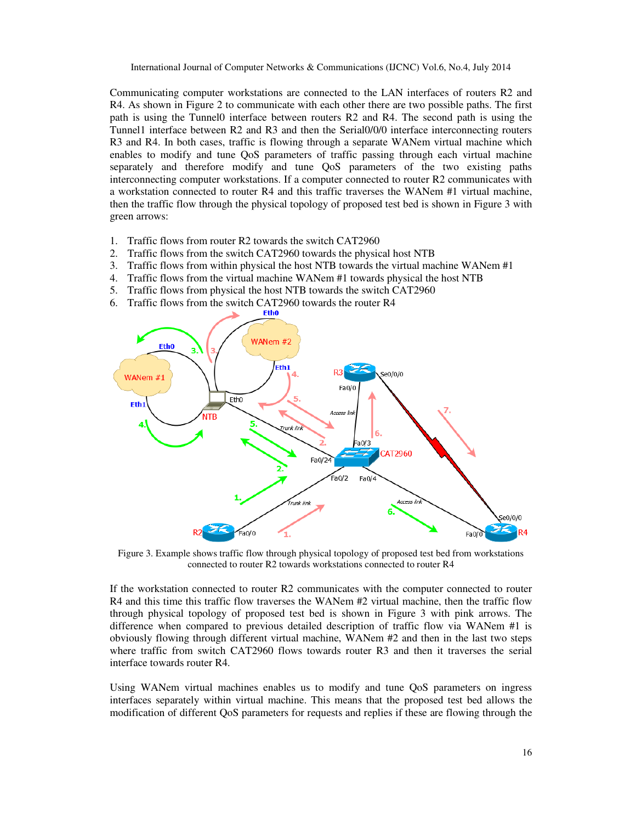Communicating computer workstations are connected to the LAN interfaces of routers R2 and R4. As shown in Figure 2 to communicate with each other there are two possible paths. The first path is using the Tunnel0 interface between routers R2 and R4. The second path is using the Tunnel1 interface between R2 and R3 and then the Serial0/0/0 interface interconnecting routers R3 and R4. In both cases, traffic is flowing through a separate WANem virtual machine which enables to modify and tune QoS parameters of traffic passing through each virtual machine separately and therefore modify and tune QoS parameters of the two existing paths interconnecting computer workstations. If a computer connected to router R2 communicates with a workstation connected to router R4 and this traffic traverses the WANem #1 virtual machine, then the traffic flow through the physical topology of proposed test bed is shown in Figure 3 with green arrows:

- 1. Traffic flows from router R2 towards the switch CAT2960
- 2. Traffic flows from the switch CAT2960 towards the physical host NTB
- 3. Traffic flows from within physical the host NTB towards the virtual machine WANem #1
- 4. Traffic flows from the virtual machine WANem #1 towards physical the host NTB
- 5. Traffic flows from physical the host NTB towards the switch CAT2960
- 6. Traffic flows from the switch CAT2960 towards the router  $R4$



Figure 3. Example shows traffic flow through physical topology of proposed test bed from workstations connected to router R2 towards workstations connected to router R4

If the workstation connected to router R2 communicates with the computer connected to router R4 and this time this traffic flow traverses the WANem #2 virtual machine, then the traffic flow through physical topology of proposed test bed is shown in Figure 3 with pink arrows. The difference when compared to previous detailed description of traffic flow via WANem #1 is obviously flowing through different virtual machine, WANem #2 and then in the last two steps where traffic from switch CAT2960 flows towards router R3 and then it traverses the serial interface towards router R4.

Using WANem virtual machines enables us to modify and tune QoS parameters on ingress interfaces separately within virtual machine. This means that the proposed test bed allows the modification of different QoS parameters for requests and replies if these are flowing through the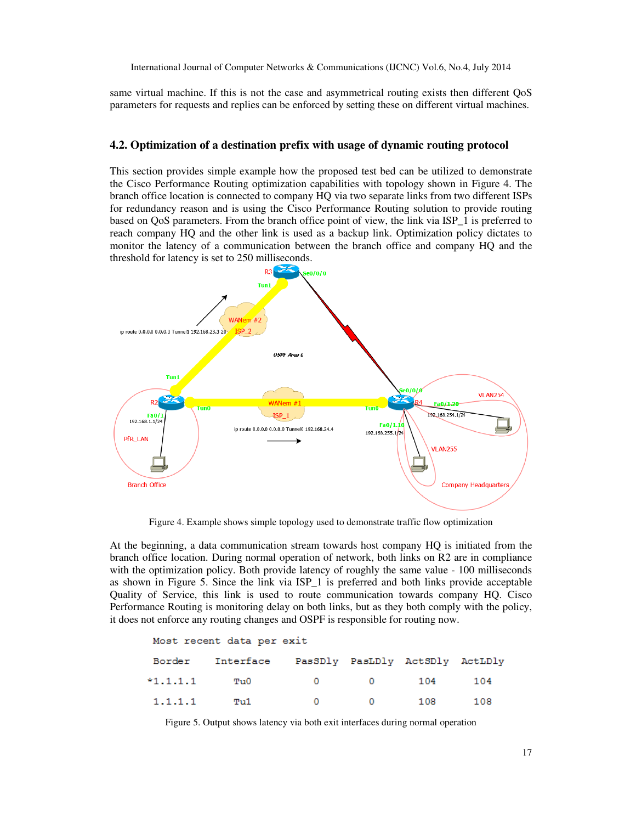same virtual machine. If this is not the case and asymmetrical routing exists then different QoS parameters for requests and replies can be enforced by setting these on different virtual machines.

#### **4.2. Optimization of a destination prefix with usage of dynamic routing protocol**

This section provides simple example how the proposed test bed can be utilized to demonstrate the Cisco Performance Routing optimization capabilities with topology shown in Figure 4. The branch office location is connected to company HQ via two separate links from two different ISPs for redundancy reason and is using the Cisco Performance Routing solution to provide routing based on QoS parameters. From the branch office point of view, the link via ISP\_1 is preferred to reach company HQ and the other link is used as a backup link. Optimization policy dictates to monitor the latency of a communication between the branch office and company HQ and the threshold for latency is set to 250 milliseconds.



Figure 4. Example shows simple topology used to demonstrate traffic flow optimization

At the beginning, a data communication stream towards host company HQ is initiated from the branch office location. During normal operation of network, both links on R2 are in compliance with the optimization policy. Both provide latency of roughly the same value - 100 milliseconds as shown in Figure 5. Since the link via ISP\_1 is preferred and both links provide acceptable Quality of Service, this link is used to route communication towards company HQ. Cisco Performance Routing is monitoring delay on both links, but as they both comply with the policy, it does not enforce any routing changes and OSPF is responsible for routing now.

| Most recent data per exit |           |                                 |                |       |     |  |  |  |
|---------------------------|-----------|---------------------------------|----------------|-------|-----|--|--|--|
| Border                    | Interface | PasSDly PasLDly ActSDly ActLDly |                |       |     |  |  |  |
| $*1.1.1.1$                | Tu0-      | $\bullet$ 0 $\bullet$           | $\overline{0}$ | 104   | 104 |  |  |  |
| 1.1.1.1                   | Tu1       | . റ                             | $\sim$ 0       | - 108 | 108 |  |  |  |

Figure 5. Output shows latency via both exit interfaces during normal operation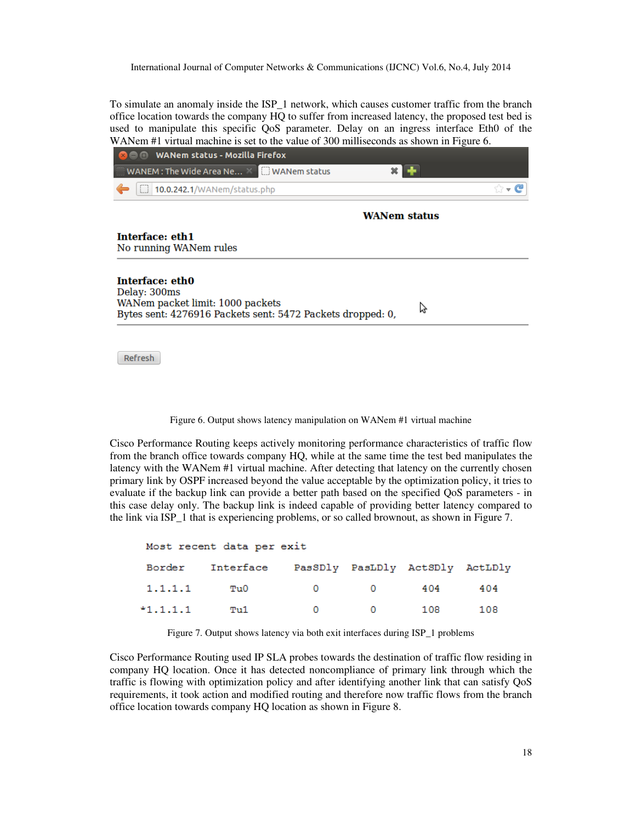To simulate an anomaly inside the ISP 1 network, which causes customer traffic from the branch office location towards the company HQ to suffer from increased latency, the proposed test bed is used to manipulate this specific QoS parameter. Delay on an ingress interface Eth0 of the WANem #1 virtual machine is set to the value of 300 milliseconds as shown in Figure 6.

| <b>WANem status - Mozilla Firefox</b><br>88 C                                                                                                                                                      |                     |  |  |  |  |
|----------------------------------------------------------------------------------------------------------------------------------------------------------------------------------------------------|---------------------|--|--|--|--|
| WANEM : The Wide Area Ne X WANEM status                                                                                                                                                            |                     |  |  |  |  |
| [ 10.0.242.1/WANem/status.php                                                                                                                                                                      | ☆▼C                 |  |  |  |  |
|                                                                                                                                                                                                    | <b>WANem status</b> |  |  |  |  |
| Interface: eth1<br>No running WANem rules                                                                                                                                                          |                     |  |  |  |  |
| Interface: eth0<br>Delay: 300ms<br>WANem packet limit: 1000 packets<br>$D_{\text{stack}}$ cant. $ADZCO16$ $D_{\text{label}}$ cant. $EAD2$ $D_{\text{label}}$ $D_{\text{label}}$ $D_{\text{label}}$ |                     |  |  |  |  |

Bytes sent: 4276916 Packets sent: 5472 Packets dropped: 0,

Refresh

Figure 6. Output shows latency manipulation on WANem #1 virtual machine

Cisco Performance Routing keeps actively monitoring performance characteristics of traffic flow from the branch office towards company HQ, while at the same time the test bed manipulates the latency with the WANem #1 virtual machine. After detecting that latency on the currently chosen primary link by OSPF increased beyond the value acceptable by the optimization policy, it tries to evaluate if the backup link can provide a better path based on the specified QoS parameters - in this case delay only. The backup link is indeed capable of providing better latency compared to the link via ISP\_1 that is experiencing problems, or so called brownout, as shown in Figure 7.

| Most recent data per exit |                                                  |                 |                         |       |      |  |  |  |
|---------------------------|--------------------------------------------------|-----------------|-------------------------|-------|------|--|--|--|
|                           | Border Interface PasSDly PasLDly ActSDly ActLDly |                 |                         |       |      |  |  |  |
| 1.1.1.1                   | Tu0                                              | $\sim$ 0 $\sim$ | $\overline{\mathbf{0}}$ | 404   | 404  |  |  |  |
| $*1.1.1.1$                | Tu1                                              | $\sim$ 0        | $\overline{0}$          | - 108 | -108 |  |  |  |

Figure 7. Output shows latency via both exit interfaces during ISP\_1 problems

Cisco Performance Routing used IP SLA probes towards the destination of traffic flow residing in company HQ location. Once it has detected noncompliance of primary link through which the traffic is flowing with optimization policy and after identifying another link that can satisfy QoS requirements, it took action and modified routing and therefore now traffic flows from the branch office location towards company HQ location as shown in Figure 8.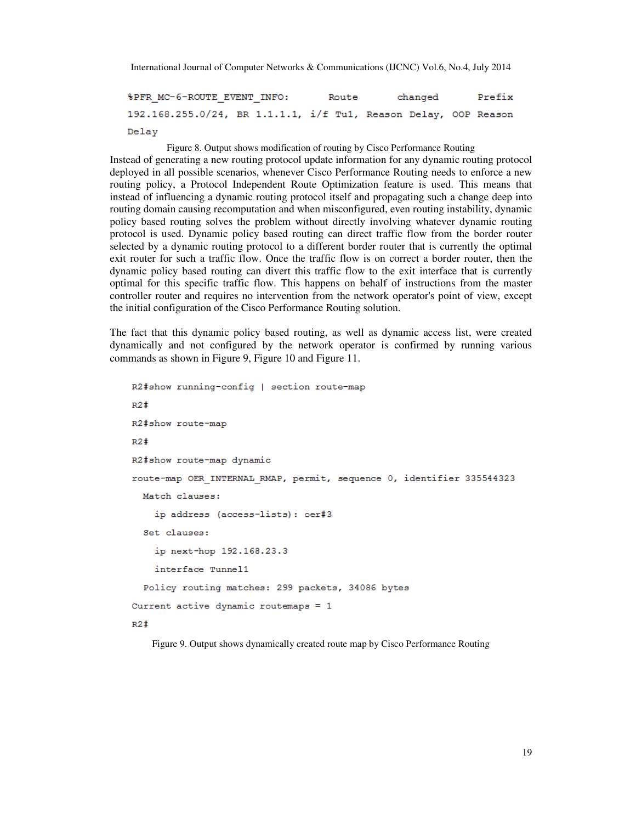**&PFR MC-6-ROUTE EVENT INFO:** Route changed Prefix 192.168.255.0/24, BR 1.1.1.1, i/f Tu1, Reason Delay, OOP Reason Delay

Figure 8. Output shows modification of routing by Cisco Performance Routing

Instead of generating a new routing protocol update information for any dynamic routing protocol deployed in all possible scenarios, whenever Cisco Performance Routing needs to enforce a new routing policy, a Protocol Independent Route Optimization feature is used. This means that instead of influencing a dynamic routing protocol itself and propagating such a change deep into routing domain causing recomputation and when misconfigured, even routing instability, dynamic policy based routing solves the problem without directly involving whatever dynamic routing protocol is used. Dynamic policy based routing can direct traffic flow from the border router selected by a dynamic routing protocol to a different border router that is currently the optimal exit router for such a traffic flow. Once the traffic flow is on correct a border router, then the dynamic policy based routing can divert this traffic flow to the exit interface that is currently optimal for this specific traffic flow. This happens on behalf of instructions from the master controller router and requires no intervention from the network operator's point of view, except the initial configuration of the Cisco Performance Routing solution.

The fact that this dynamic policy based routing, as well as dynamic access list, were created dynamically and not configured by the network operator is confirmed by running various commands as shown in Figure 9, Figure 10 and Figure 11.

```
R2#show running-config | section route-map
R2#R2#show route-map
R2#R2#show route-map dynamic
route-map OER_INTERNAL_RMAP, permit, sequence 0, identifier 335544323
 Match clauses:
    ip address (access-lists): oer#3
  Set clauses:
    ip next-hop 192.168.23.3
    interface Tunnel1
 Policy routing matches: 299 packets, 34086 bytes
Current active dynamic routemaps = 1R2#
```
Figure 9. Output shows dynamically created route map by Cisco Performance Routing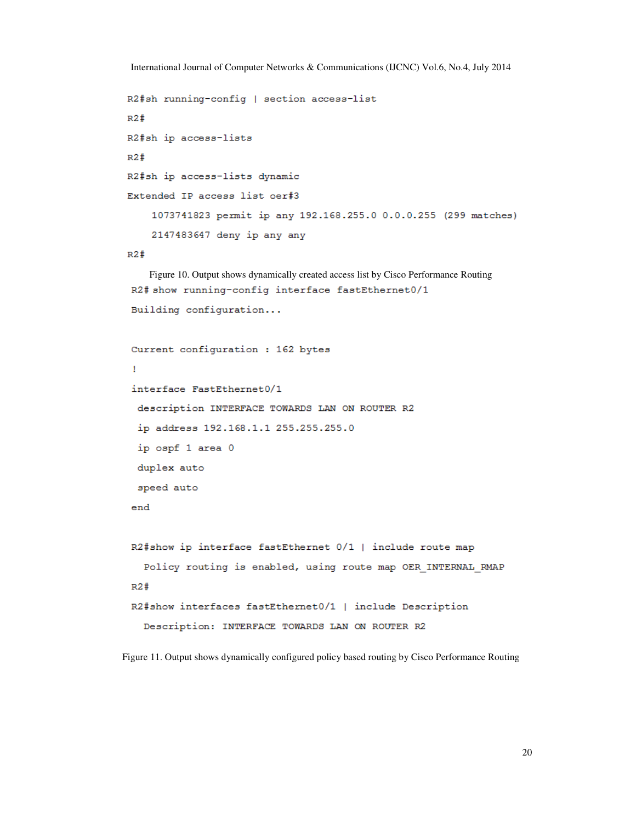```
R2#sh running-config | section access-list
R2#R2#sh ip access-lists
R2#R2#sh ip access-lists dynamic
Extended IP access list oer#3
    1073741823 permit ip any 192.168.255.0 0.0.0.255 (299 matches)
    2147483647 deny ip any any
R2#Figure 10. Output shows dynamically created access list by Cisco Performance Routing 
R2# show running-config interface fastEthernet0/1
Building configuration...
Current configuration : 162 bytes
\mathbf{I}interface FastEthernet0/1
 description INTERFACE TOWARDS LAN ON ROUTER R2
 ip address 192.168.1.1 255.255.255.0
 ip ospf 1 area 0
```

```
duplex auto
```

```
speed auto
```

```
end
```

```
R2#show ip interface fastEthernet 0/1 | include route map
  Policy routing is enabled, using route map OER INTERNAL RMAP
R2#R2#show interfaces fastEthernet0/1 | include Description
  Description: INTERFACE TOWARDS LAN ON ROUTER R2
```
Figure 11. Output shows dynamically configured policy based routing by Cisco Performance Routing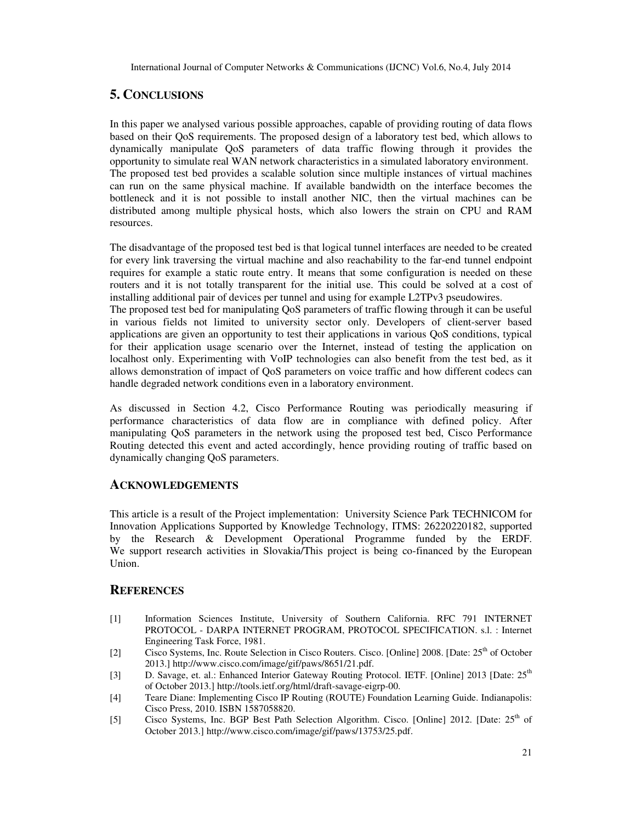# **5. CONCLUSIONS**

In this paper we analysed various possible approaches, capable of providing routing of data flows based on their QoS requirements. The proposed design of a laboratory test bed, which allows to dynamically manipulate QoS parameters of data traffic flowing through it provides the opportunity to simulate real WAN network characteristics in a simulated laboratory environment. The proposed test bed provides a scalable solution since multiple instances of virtual machines can run on the same physical machine. If available bandwidth on the interface becomes the bottleneck and it is not possible to install another NIC, then the virtual machines can be distributed among multiple physical hosts, which also lowers the strain on CPU and RAM resources.

The disadvantage of the proposed test bed is that logical tunnel interfaces are needed to be created for every link traversing the virtual machine and also reachability to the far-end tunnel endpoint requires for example a static route entry. It means that some configuration is needed on these routers and it is not totally transparent for the initial use. This could be solved at a cost of installing additional pair of devices per tunnel and using for example L2TPv3 pseudowires.

The proposed test bed for manipulating QoS parameters of traffic flowing through it can be useful in various fields not limited to university sector only. Developers of client-server based applications are given an opportunity to test their applications in various QoS conditions, typical for their application usage scenario over the Internet, instead of testing the application on localhost only. Experimenting with VoIP technologies can also benefit from the test bed, as it allows demonstration of impact of QoS parameters on voice traffic and how different codecs can handle degraded network conditions even in a laboratory environment.

As discussed in Section 4.2, Cisco Performance Routing was periodically measuring if performance characteristics of data flow are in compliance with defined policy. After manipulating QoS parameters in the network using the proposed test bed, Cisco Performance Routing detected this event and acted accordingly, hence providing routing of traffic based on dynamically changing QoS parameters.

### **ACKNOWLEDGEMENTS**

This article is a result of the Project implementation: University Science Park TECHNICOM for Innovation Applications Supported by Knowledge Technology, ITMS: 26220220182, supported by the Research & Development Operational Programme funded by the ERDF. We support research activities in Slovakia/This project is being co-financed by the European Union.

## **REFERENCES**

- [1] Information Sciences Institute, University of Southern California. RFC 791 INTERNET PROTOCOL - DARPA INTERNET PROGRAM, PROTOCOL SPECIFICATION. s.l. : Internet Engineering Task Force, 1981.
- [2] Cisco Systems, Inc. Route Selection in Cisco Routers. Cisco. [Online] 2008. [Date: 25<sup>th</sup> of October 2013.] http://www.cisco.com/image/gif/paws/8651/21.pdf.
- [3] D. Savage, et. al.: Enhanced Interior Gateway Routing Protocol. IETF. [Online] 2013 [Date: 25<sup>th</sup> of October 2013.] http://tools.ietf.org/html/draft-savage-eigrp-00.
- [4] Teare Diane: Implementing Cisco IP Routing (ROUTE) Foundation Learning Guide. Indianapolis: Cisco Press, 2010. ISBN 1587058820.
- [5] Cisco Systems, Inc. BGP Best Path Selection Algorithm. Cisco. [Online] 2012. [Date: 25<sup>th</sup> of October 2013.] http://www.cisco.com/image/gif/paws/13753/25.pdf.